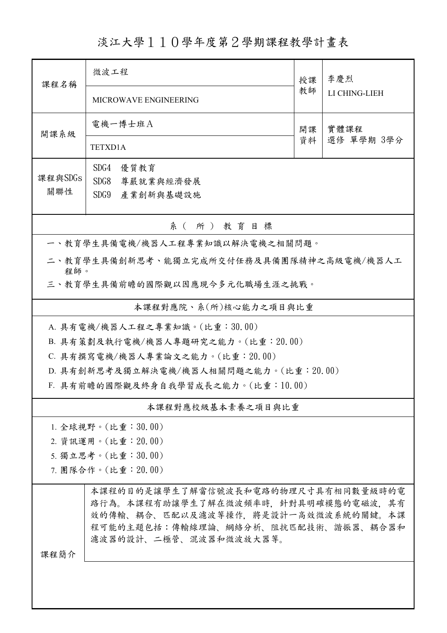## 淡江大學110學年度第2學期課程教學計畫表

| 課程名稱                                                                         | 微波工程                                                                                                                                                                               | 授課         | 李慶烈           |  |  |
|------------------------------------------------------------------------------|------------------------------------------------------------------------------------------------------------------------------------------------------------------------------------|------------|---------------|--|--|
|                                                                              | MICROWAVE ENGINEERING                                                                                                                                                              |            | LI CHING-LIEH |  |  |
| 開課系級                                                                         | 電機一博士班A                                                                                                                                                                            | 實體課程<br>開課 |               |  |  |
|                                                                              | <b>TETXD1A</b>                                                                                                                                                                     | 資料         | 選修 單學期 3學分    |  |  |
| 課程與SDGs                                                                      | SDG4<br>優質教育                                                                                                                                                                       |            |               |  |  |
| 關聯性                                                                          | SDG8<br>尊嚴就業與經濟發展                                                                                                                                                                  |            |               |  |  |
|                                                                              | SDG9 產業創新與基礎設施                                                                                                                                                                     |            |               |  |  |
|                                                                              | 系(所)教育目標                                                                                                                                                                           |            |               |  |  |
|                                                                              | 一、教育學生具備電機/機器人工程專業知識以解決電機之相關問題。                                                                                                                                                    |            |               |  |  |
| 二、教育學生具備創新思考、能獨立完成所交付任務及具備團隊精神之高級電機/機器人工<br>程師。                              |                                                                                                                                                                                    |            |               |  |  |
| 三、教育學生具備前瞻的國際觀以因應現今多元化職場生涯之挑戰。                                               |                                                                                                                                                                                    |            |               |  |  |
| 本課程對應院、系(所)核心能力之項目與比重                                                        |                                                                                                                                                                                    |            |               |  |  |
| A. 具有電機/機器人工程之專業知識。(比重:30.00)                                                |                                                                                                                                                                                    |            |               |  |  |
| B. 具有策劃及執行電機/機器人專題研究之能力。(比重: 20.00)                                          |                                                                                                                                                                                    |            |               |  |  |
| C. 具有撰寫電機/機器人專業論文之能力。(比重: 20.00)                                             |                                                                                                                                                                                    |            |               |  |  |
| D. 具有創新思考及獨立解決電機/機器人相關問題之能力。(比重:20.00)<br>F. 具有前瞻的國際觀及終身自我學習成長之能力。(比重:10.00) |                                                                                                                                                                                    |            |               |  |  |
|                                                                              |                                                                                                                                                                                    |            |               |  |  |
|                                                                              | 本課程對應校級基本素養之項目與比重                                                                                                                                                                  |            |               |  |  |
|                                                                              | 1. 全球視野。(比重:30.00)                                                                                                                                                                 |            |               |  |  |
| 2. 資訊運用。(比重:20.00)                                                           |                                                                                                                                                                                    |            |               |  |  |
| 5. 獨立思考。(比重:30.00)                                                           |                                                                                                                                                                                    |            |               |  |  |
| 7. 團隊合作。(比重:20.00)                                                           |                                                                                                                                                                                    |            |               |  |  |
|                                                                              | 本課程的目的是讓學生了解當信號波長和電路的物理尺寸具有相同數量級時的電<br>路行為。本課程有助讓學生了解在微波頻率時,針對具明確模態的電磁波,其有<br>效的傳輸、耦合、匹配以及濾波等操作,將是設計一高效微波系統的關鍵。本課<br>程可能的主題包括:傳輸線理論、網絡分析、阻抗匹配技術、諧振器、耦合器和<br>濾波器的設計、二極管、混波器和微波放大器等。 |            |               |  |  |
| 課程簡介                                                                         |                                                                                                                                                                                    |            |               |  |  |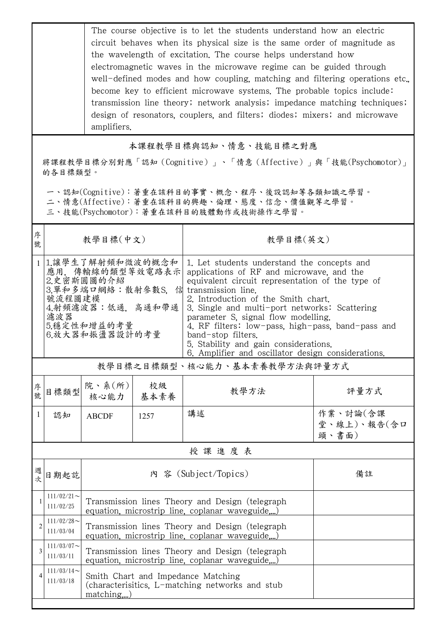The course objective is to let the students understand how an electric circuit behaves when its physical size is the same order of magnitude as the wavelength of excitation. The course helps understand how electromagnetic waves in the microwave regime can be guided through well-defined modes and how coupling, matching and filtering operations etc. become key to efficient microwave systems. The probable topics include: transmission line theory; network analysis; impedance matching techniques; design of resonators, couplers, and filters; diodes; mixers; and microwave amplifiers.

本課程教學目標與認知、情意、技能目標之對應

將課程教學目標分別對應「認知(Cognitive)」、「情意(Affective)」與「技能(Psychomotor)」 的各目標類型。

一、認知(Cognitive):著重在該科目的事實、概念、程序、後設認知等各類知識之學習。

二、情意(Affective):著重在該科目的興趣、倫理、態度、信念、價值觀等之學習。

三、技能(Psychomotor):著重在該科目的肢體動作或技術操作之學習。

| 序<br>號         | 教學目標(中文)                                                                                                                                           |                                                                                                       |            | 教學目標(英文)                                                                                                                                                                                                                                                                                                                                                                                                                                                                    |                                  |  |
|----------------|----------------------------------------------------------------------------------------------------------------------------------------------------|-------------------------------------------------------------------------------------------------------|------------|-----------------------------------------------------------------------------------------------------------------------------------------------------------------------------------------------------------------------------------------------------------------------------------------------------------------------------------------------------------------------------------------------------------------------------------------------------------------------------|----------------------------------|--|
|                | 1 1.讓學生了解射頻和微波的概念和<br>應用, 傳輸線的類型等效電路表示<br>2.史密斯圓圖的介紹<br>3. 單和多端口網絡:散射參數S. 信<br>號流程圖建模<br>4.射頻濾波器:低通. 高通和帶通<br>濾波器<br>5.穩定性和增益的考量<br>6.放大器和振盪器設計的考量 |                                                                                                       |            | 1. Let students understand the concepts and<br>applications of RF and microwave, and the<br>equivalent circuit representation of the type of<br>transmission line.<br>2. Introduction of the Smith chart.<br>3. Single and multi-port networks: Scattering<br>parameter S, signal flow modelling.<br>4. RF filters: low-pass, high-pass, band-pass and<br>band-stop filters.<br>5. Stability and gain considerations.<br>6. Amplifier and oscillator design considerations. |                                  |  |
|                | 教學目標之目標類型、核心能力、基本素養教學方法與評量方式                                                                                                                       |                                                                                                       |            |                                                                                                                                                                                                                                                                                                                                                                                                                                                                             |                                  |  |
| 序<br>號         | 目標類型                                                                                                                                               | 院、系 $(\text{m})$<br>核心能力                                                                              | 校級<br>基本素養 | 教學方法                                                                                                                                                                                                                                                                                                                                                                                                                                                                        | 評量方式                             |  |
| 1              | 認知                                                                                                                                                 | <b>ABCDF</b>                                                                                          | 1257       | 講述                                                                                                                                                                                                                                                                                                                                                                                                                                                                          | 作業、討論(含課<br>堂、線上)、報告(含口<br>頭、書面) |  |
|                | 授課進度表                                                                                                                                              |                                                                                                       |            |                                                                                                                                                                                                                                                                                                                                                                                                                                                                             |                                  |  |
| 週<br>坎         | 日期起訖                                                                                                                                               | 內 容 (Subject/Topics)                                                                                  |            | 備註                                                                                                                                                                                                                                                                                                                                                                                                                                                                          |                                  |  |
|                | $111/02/21$ ~<br>111/02/25                                                                                                                         | Transmission lines Theory and Design (telegraph<br>equation, microstrip line, coplanar waveguide)     |            |                                                                                                                                                                                                                                                                                                                                                                                                                                                                             |                                  |  |
| $\overline{2}$ | $111/02/28$ ~<br>111/03/04                                                                                                                         | Transmission lines Theory and Design (telegraph<br>equation, microstrip line, coplanar waveguide,)    |            |                                                                                                                                                                                                                                                                                                                                                                                                                                                                             |                                  |  |
| 3              | $111/03/07$ ~<br>111/03/11                                                                                                                         | Transmission lines Theory and Design (telegraph<br>equation, microstrip line, coplanar waveguide)     |            |                                                                                                                                                                                                                                                                                                                                                                                                                                                                             |                                  |  |
| 4              | $111/03/14$ ~<br>111/03/18                                                                                                                         | Smith Chart and Impedance Matching<br>(characterisitics, L-matching networks and stub<br>$matching$ ) |            |                                                                                                                                                                                                                                                                                                                                                                                                                                                                             |                                  |  |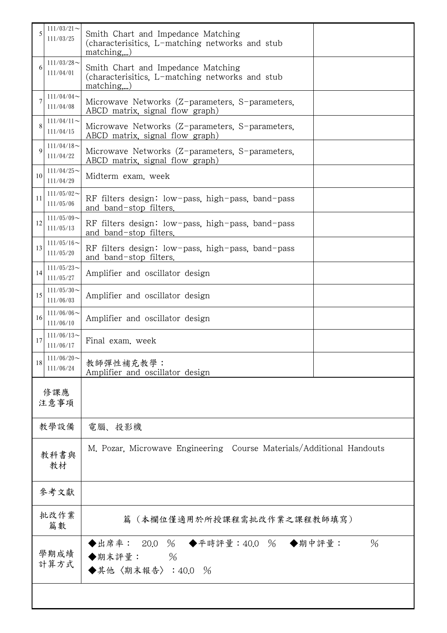| 5           | $111/03/21$ ~<br>111/03/25 | Smith Chart and Impedance Matching<br>(characterisitics, L-matching networks and stub<br>$matching$ ,) |               |  |
|-------------|----------------------------|--------------------------------------------------------------------------------------------------------|---------------|--|
| 6           | $111/03/28$ ~<br>111/04/01 | Smith Chart and Impedance Matching<br>(characterisitics, L-matching networks and stub<br>$matching$ )  |               |  |
|             | $111/04/04$ ~<br>111/04/08 | Microwave Networks (Z-parameters, S-parameters,<br>ABCD matrix, signal flow graph)                     |               |  |
| 8           | $111/04/11$ ~<br>111/04/15 | Microwave Networks (Z-parameters, S-parameters,<br>ABCD matrix, signal flow graph)                     |               |  |
| $\mathbf Q$ | $111/04/18$ ~<br>111/04/22 | Microwave Networks (Z-parameters, S-parameters,<br>ABCD matrix, signal flow graph)                     |               |  |
| 10          | $111/04/25$ ~<br>111/04/29 | Midterm exam. week                                                                                     |               |  |
| 11          | $111/05/02$ ~<br>111/05/06 | RF filters design: low-pass, high-pass, band-pass<br>and band-stop filters.                            |               |  |
| 12          | $111/05/09$ ~<br>111/05/13 | RF filters design: low-pass, high-pass, band-pass<br>and band-stop filters.                            |               |  |
| 13          | $111/05/16$ ~<br>111/05/20 | RF filters design: low-pass, high-pass, band-pass<br>and band-stop filters.                            |               |  |
| 14          | $111/05/23$ ~<br>111/05/27 | Amplifier and oscillator design                                                                        |               |  |
| 15          | $111/05/30$ ~<br>111/06/03 | Amplifier and oscillator design                                                                        |               |  |
| 16          | $111/06/06$ ~<br>111/06/10 | Amplifier and oscillator design                                                                        |               |  |
| 17          | $111/06/13$ ~<br>111/06/17 | Final exam. week                                                                                       |               |  |
| 18          | $111/06/20$ ~<br>111/06/24 | 教師彈性補充教學:<br>Amplifier and oscillator design                                                           |               |  |
|             | 修課應<br>注意事項                |                                                                                                        |               |  |
|             | 教學設備                       | 電腦、投影機                                                                                                 |               |  |
|             | 教科書與<br>教材                 | M. Pozar, Microwave Engineering Course Materials/Additional Handouts                                   |               |  |
|             | 參考文獻                       |                                                                                                        |               |  |
|             | 批改作業<br>篇數                 | (本欄位僅適用於所授課程需批改作業之課程教師填寫)<br>篇                                                                         |               |  |
|             | 學期成績<br>計算方式               | ◆出席率: 20.0 % ◆平時評量:40.0 % ◆期中評量:<br>◆期末評量:<br>$\%$<br>◆其他〈期末報告〉:40.0 %                                 | $\frac{0}{6}$ |  |
|             |                            |                                                                                                        |               |  |